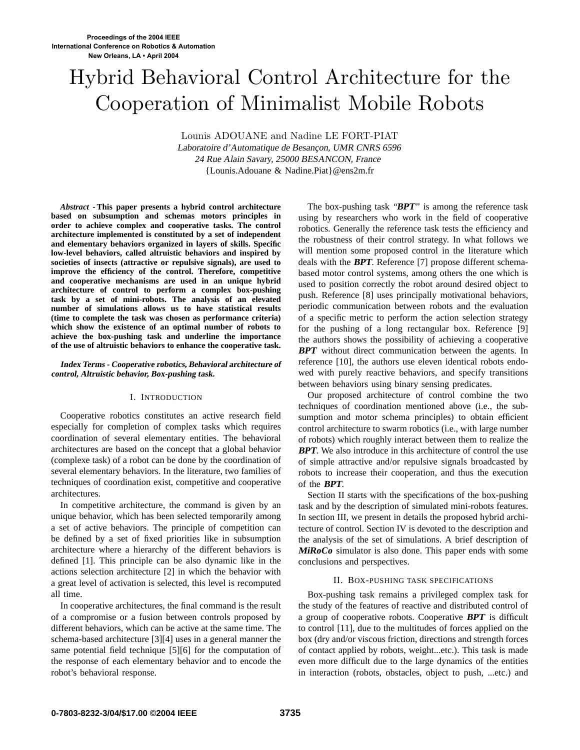# Hybrid Behavioral Control Architecture for the Cooperation of Minimalist Mobile Robots

Lounis ADOUANE and Nadine LE FORT-PIAT Laboratoire d'Automatique de Besançon, UMR CNRS <sup>6596</sup> <sup>24</sup> Rue Alain Savary, <sup>25000</sup> BESANCON, France {Lounis.Adouane & Nadine.Piat}@ens2m.fr

*Abstract* **- This paper presents a hybrid control architecture based on subsumption and schemas motors principles in order to achieve complex and cooperative tasks. The control architecture implemented is constituted by a set of independent and elementary behaviors organized in layers of skills. Specific low-level behaviors, called altruistic behaviors and inspired by societies of insects (attractive or repulsive signals), are used to improve the efficiency of the control. Therefore, competitive and cooperative mechanisms are used in an unique hybrid architecture of control to perform a complex box-pushing task by a set of mini-robots. The analysis of an elevated number of simulations allows us to have statistical results (time to complete the task was chosen as performance criteria) which show the existence of an optimal number of robots to achieve the box-pushing task and underline the importance of the use of altruistic behaviors to enhance the cooperative task.**

## **Index Terms - Cooperative robotics, Behavioral architecture of control, Altruistic behavior, Box-pushing task.**

## I. INTRODUCTION

Cooperative robotics constitutes an active research field especially for completion of complex tasks which requires coordination of several elementary entities. The behavioral architectures are based on the concept that a global behavior (complexe task) of a robot can be done by the coordination of several elementary behaviors. In the literature, two families of techniques of coordination exist, competitive and cooperative architectures.

In competitive architecture, the command is given by an unique behavior, which has been selected temporarily among a set of active behaviors. The principle of competition can be defined by a set of fixed priorities like in subsumption architecture where a hierarchy of the different behaviors is defined [1]. This principle can be also dynamic like in the actions selection architecture [2] in which the behavior with a great level of activation is selected, this level is recomputed all time.

In cooperative architectures, the final command is the result of a compromise or a fusion between controls proposed by different behaviors, which can be active at the same time. The schema-based architecture [3][4] uses in a general manner the same potential field technique [5][6] for the computation of the response of each elementary behavior and to encode the robot's behavioral response.

The box-pushing task "**BPT**" is among the reference task using by researchers who work in the field of cooperative robotics. Generally the reference task tests the efficiency and the robustness of their control strategy. In what follows we will mention some proposed control in the literature which deals with the **BPT**. Reference [7] propose different schemabased motor control systems, among others the one which is used to position correctly the robot around desired object to push. Reference [8] uses principally motivational behaviors, periodic communication between robots and the evaluation of a specific metric to perform the action selection strategy for the pushing of a long rectangular box. Reference [9] the authors shows the possibility of achieving a cooperative **BPT** without direct communication between the agents. In reference [10], the authors use eleven identical robots endowed with purely reactive behaviors, and specify transitions between behaviors using binary sensing predicates.

Our proposed architecture of control combine the two techniques of coordination mentioned above (i.e., the subsumption and motor schema principles) to obtain efficient control architecture to swarm robotics (i.e., with large number of robots) which roughly interact between them to realize the **BPT**. We also introduce in this architecture of control the use of simple attractive and/or repulsive signals broadcasted by robots to increase their cooperation, and thus the execution of the **BPT**.

Section II starts with the specifications of the box-pushing task and by the description of simulated mini-robots features. In section III, we present in details the proposed hybrid architecture of control. Section IV is devoted to the description and the analysis of the set of simulations. A brief description of **MiRoCo** simulator is also done. This paper ends with some conclusions and perspectives.

## II. BOX-PUSHING TASK SPECIFICATIONS

Box-pushing task remains a privileged complex task for the study of the features of reactive and distributed control of a group of cooperative robots. Cooperative **BPT** is difficult to control [11], due to the multitudes of forces applied on the box (dry and/or viscous friction, directions and strength forces of contact applied by robots, weight...etc.). This task is made even more difficult due to the large dynamics of the entities in interaction (robots, obstacles, object to push, ...etc.) and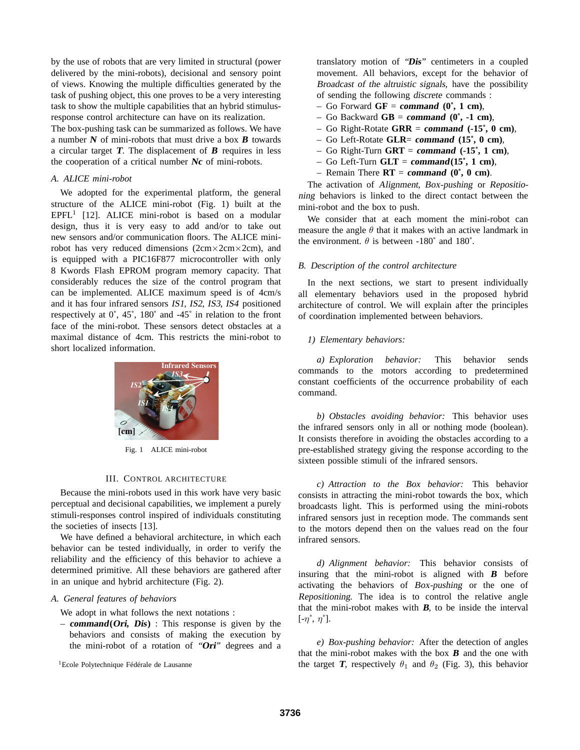by the use of robots that are very limited in structural (power delivered by the mini-robots), decisional and sensory point of views. Knowing the multiple difficulties generated by the task of pushing object, this one proves to be a very interesting task to show the multiple capabilities that an hybrid stimulusresponse control architecture can have on its realization.

The box-pushing task can be summarized as follows. We have a number **<sup>N</sup>** of mini-robots that must drive a box **<sup>B</sup>** towards a circular target **<sup>T</sup>**. The displacement of **<sup>B</sup>** requires in less the cooperation of a critical number **Nc** of mini-robots.

## *A. ALICE mini-robot*

We adopted for the experimental platform, the general structure of the ALICE mini-robot (Fig. 1) built at the  $EPFL<sup>1</sup>$  [12]. ALICE mini-robot is based on a modular design, thus it is very easy to add and/or to take out new sensors and/or communication floors. The ALICE minirobot has very reduced dimensions  $(2cm \times 2cm \times 2cm)$ , and is equipped with a PIC16F877 microcontroller with only 8 Kwords Flash EPROM program memory capacity. That considerably reduces the size of the control program that can be implemented. ALICE maximum speed is of 4cm/s and it has four infrared sensors IS1, IS2, IS3, IS4 positioned respectively at 0˚, 45˚, 180˚ and -45˚ in relation to the front face of the mini-robot. These sensors detect obstacles at a maximal distance of 4cm. This restricts the mini-robot to short localized information.



Fig. 1 ALICE mini-robot

## III. CONTROL ARCHITECTURE

Because the mini-robots used in this work have very basic perceptual and decisional capabilities, we implement a purely stimuli-responses control inspired of individuals constituting the societies of insects [13].

We have defined a behavioral architecture, in which each behavior can be tested individually, in order to verify the reliability and the efficiency of this behavior to achieve a determined primitive. All these behaviors are gathered after in an unique and hybrid architecture (Fig. 2).

# *A. General features of behaviors*

We adopt in what follows the next notations :

– **command(Ori, Dis)** : This response is given by the behaviors and consists of making the execution by the mini-robot of a rotation of "**Ori**" degrees and a

<sup>1</sup>Ecole Polytechnique Fédérale de Lausanne

translatory motion of "**Dis**" centimeters in a coupled movement. All behaviors, except for the behavior of Broadcast of the altruistic signals, have the possibility of sending the following discrete commands :

- Go Forward **GF** = **command (0˚, 1 cm)**,
- Go Backward **GB** = **command (0˚, -1 cm)**,
- Go Right-Rotate **GRR** = **command (-15˚, 0 cm)**,
- Go Left-Rotate **GLR**= **command (15˚, 0 cm)**,
- Go Right-Turn **GRT** = **command (-15˚, 1 cm)**,
- Go Left-Turn **GLT** = **command(15˚, 1 cm)**,
- $-$  Remain There  $\mathbf{RT} = \mathbf{command}(\mathbf{0}^*, \mathbf{0} \mathbf{cm})$ .

The activation of Alignment, Box-pushing or Repositioning behaviors is linked to the direct contact between the mini-robot and the box to push.

We consider that at each moment the mini-robot can measure the angle  $\theta$  that it makes with an active landmark in the environment.  $\theta$  is between -180° and 180°.

## *B. Description of the control architecture*

In the next sections, we start to present individually all elementary behaviors used in the proposed hybrid architecture of control. We will explain after the principles of coordination implemented between behaviors.

## *1) Elementary behaviors:*

*a) Exploration behavior:* This behavior sends commands to the motors according to predetermined constant coefficients of the occurrence probability of each command.

*b) Obstacles avoiding behavior:* This behavior uses the infrared sensors only in all or nothing mode (boolean). It consists therefore in avoiding the obstacles according to a pre-established strategy giving the response according to the sixteen possible stimuli of the infrared sensors.

*c) Attraction to the Box behavior:* This behavior consists in attracting the mini-robot towards the box, which broadcasts light. This is performed using the mini-robots infrared sensors just in reception mode. The commands sent to the motors depend then on the values read on the four infrared sensors.

*d) Alignment behavior:* This behavior consists of insuring that the mini-robot is aligned with **<sup>B</sup>** before activating the behaviors of Box-pushing or the one of Repositioning. The idea is to control the relative angle that the mini-robot makes with **<sup>B</sup>**, to be inside the interval  $[-\eta^{\circ}, \eta^{\circ}].$ 

*e) Box-pushing behavior:* After the detection of angles that the mini-robot makes with the box **<sup>B</sup>** and the one with the target **T**, respectively  $\theta_1$  and  $\theta_2$  (Fig. 3), this behavior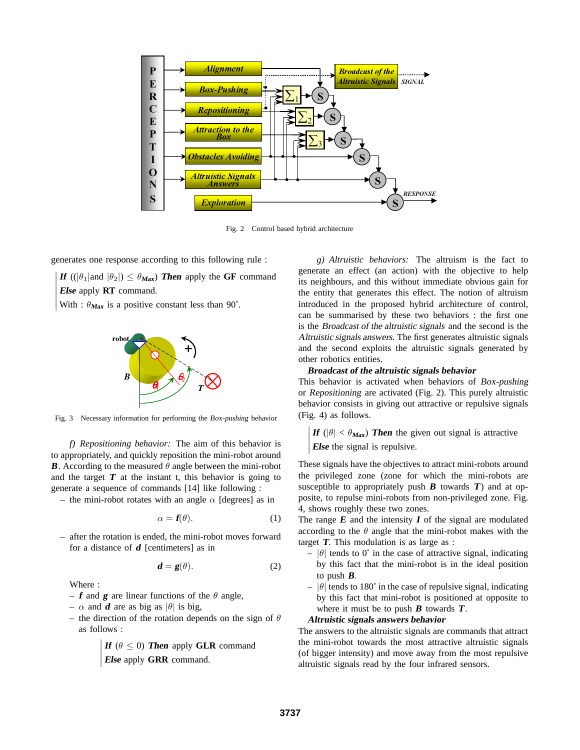

Fig. 2 Control based hybrid architecture

generates one response according to this following rule :

¯  $\begin{array}{c} \hline \end{array}$  $\overline{\phantom{a}}$  $\mathsf{I}$  $\overline{\phantom{a}}$  $\overline{\phantom{a}}$ **If**  $((|\theta_1| \text{and } |\theta_2|) \leq \theta_{\text{Max}})$  **Then** apply the **GF** command **Else** apply **RT** command.

With :  $\theta_{\text{Max}}$  is a positive constant less than 90°.



Fig. 3 Necessary information for performing the Box-pushing behavior

*f) Repositioning behavior:* The aim of this behavior is to appropriately, and quickly reposition the mini-robot around **B**. According to the measured  $\theta$  angle between the mini-robot and the target  $T$  at the instant t, this behavior is going to generate a sequence of commands [14] like following :

– the mini-robot rotates with an angle  $\alpha$  [degrees] as in

$$
\alpha = \mathbf{f}(\theta). \tag{1}
$$

– after the rotation is ended, the mini-robot moves forward for a distance of **<sup>d</sup>** [centimeters] as in

$$
\mathbf{d} = \mathbf{g}(\theta). \tag{2}
$$

Where :

 $\mathsf{I}$ 

- $-$  **f** and **g** are linear functions of the  $\theta$  angle,
- $-\alpha$  and **d** are as big as  $|\theta|$  is big,
- the direction of the rotation depends on the sign of  $\theta$ as follows :  $\overline{a}$

 $\begin{array}{c} \hline \end{array}$  $\overline{\phantom{a}}$  $\mathsf{l}$  $\frac{1}{2}$ **If**  $(\theta \le 0)$  **Then** apply **GLR** command **Else** apply **GRR** command.

*g) Altruistic behaviors:* The altruism is the fact to generate an effect (an action) with the objective to help its neighbours, and this without immediate obvious gain for the entity that generates this effect. The notion of altruism introduced in the proposed hybrid architecture of control, can be summarised by these two behaviors : the first one is the Broadcast of the altruistic signals and the second is the Altruistic signals answers. The first generates altruistic signals and the second exploits the altruistic signals generated by other robotics entities.

# **Broadcast of the altruistic signals behavior**

This behavior is activated when behaviors of Box-pushing or Repositioning are activated (Fig. 2). This purely altruistic behavior consists in giving out attractive or repulsive signals (Fig. 4) as follows. ¯

¯  $\mathsf{l}$  $\overline{\phantom{a}}$  $\overline{\phantom{a}}$ **If** ( $|\theta| < \theta_{\text{Max}}$ ) **Then** the given out signal is attractive **Else** the signal is repulsive.

These signals have the objectives to attract mini-robots around the privileged zone (zone for which the mini-robots are susceptible to appropriately push  $\bf{B}$  towards  $\bf{T}$ ) and at opposite, to repulse mini-robots from non-privileged zone. Fig. 4, shows roughly these two zones.

The range  $\boldsymbol{E}$  and the intensity  $\boldsymbol{I}$  of the signal are modulated according to the  $\theta$  angle that the mini-robot makes with the target **<sup>T</sup>**. This modulation is as large as :

- $|\theta|$  tends to 0° in the case of attractive signal, indicating by this fact that the mini-robot is in the ideal position to push **<sup>B</sup>**.
- $-$  | $\theta$ | tends to 180° in the case of repulsive signal, indicating by this fact that mini-robot is positioned at opposite to where it must be to push **<sup>B</sup>** towards **<sup>T</sup>**.

## **Altruistic signals answers behavior**

The answers to the altruistic signals are commands that attract the mini-robot towards the most attractive altruistic signals (of bigger intensity) and move away from the most repulsive altruistic signals read by the four infrared sensors.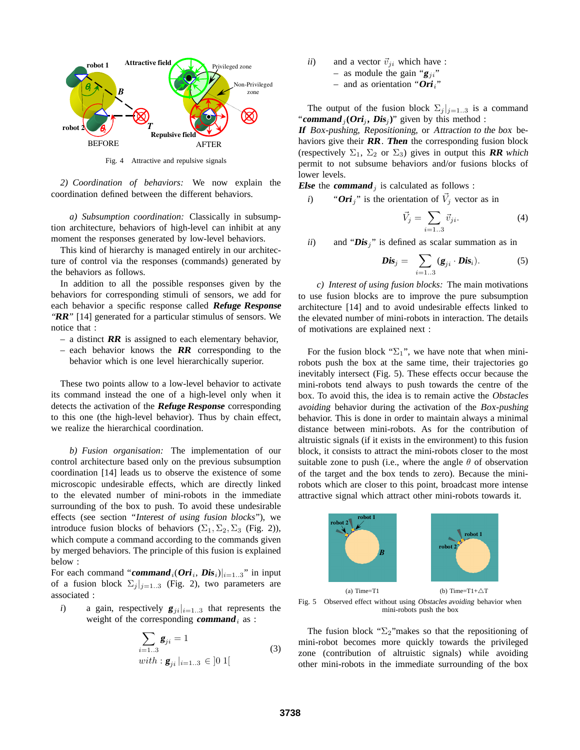

Fig. 4 Attractive and repulsive signals

*2) Coordination of behaviors:* We now explain the coordination defined between the different behaviors.

*a) Subsumption coordination:* Classically in subsumption architecture, behaviors of high-level can inhibit at any moment the responses generated by low-level behaviors.

This kind of hierarchy is managed entirely in our architecture of control via the responses (commands) generated by the behaviors as follows.

In addition to all the possible responses given by the behaviors for corresponding stimuli of sensors, we add for each behavior a specific response called **Refuge Response** "**RR**" [14] generated for a particular stimulus of sensors. We notice that :

- a distinct **RR** is assigned to each elementary behavior,
- each behavior knows the **RR** corresponding to the behavior which is one level hierarchically superior.

These two points allow to a low-level behavior to activate its command instead the one of a high-level only when it detects the activation of the **Refuge Response** corresponding to this one (the high-level behavior). Thus by chain effect, we realize the hierarchical coordination.

*b) Fusion organisation:* The implementation of our control architecture based only on the previous subsumption coordination [14] leads us to observe the existence of some microscopic undesirable effects, which are directly linked to the elevated number of mini-robots in the immediate surrounding of the box to push. To avoid these undesirable effects (see section "Interest of using fusion blocks"), we introduce fusion blocks of behaviors ( $\Sigma_1$ ,  $\Sigma_2$ ,  $\Sigma_3$  (Fig. 2)), which compute a command according to the commands given by merged behaviors. The principle of this fusion is explained below :

For each command "**command**<sub>i</sub>( $Ori_i$ ,  $Dis_i$ ) $|_{i=1..3}$ " in input of a fusion block  $\Sigma_i|_{i=1..3}$  (Fig. 2), two parameters are associated :

*i*) a gain, respectively  $g_{ji}|_{i=1..3}$  that represents the weight of the corresponding **command**<sub>i</sub> as :

$$
\sum_{i=1..3} \mathbf{g}_{ji} = 1
$$
  
with:  $\mathbf{g}_{ji} |_{i=1..3} \in ]0 1[$  (3)

*ii*) and a vector  $\vec{v}_{ji}$  which have : – as module the gain " $g_{ji}$ "  $-$  and as orientation "**Ori**<sub>i</sub>"

The output of the fusion block  $\Sigma_j |_{j=1..3}$  is a command "**command**<sub>j</sub>( $Ori_j$ ,  $Dis_j$ )" given by this method :

**If** Box-pushing, Repositioning, or Attraction to the box behaviors give their **RR**. **Then** the corresponding fusion block (respectively  $\Sigma_1$ ,  $\Sigma_2$  or  $\Sigma_3$ ) gives in output this **RR** which permit to not subsume behaviors and/or fusions blocks of lower levels.

**Else** the **command** is calculated as follows :

*i*) "Ori<sub>j</sub>" is the orientation of  $\vec{V}_j$  vector as in

$$
\vec{V}_j = \sum_{i=1..3} \vec{v}_{ji}.\tag{4}
$$

*ii*) and " $\mathbf{Dis}_j$ " is defined as scalar summation as in

$$
\mathbf{Dis}_j = \sum_{i=1..3} (\mathbf{g}_{ji} \cdot \mathbf{Dis}_i). \tag{5}
$$

*c) Interest of using fusion blocks:* The main motivations to use fusion blocks are to improve the pure subsumption architecture [14] and to avoid undesirable effects linked to the elevated number of mini-robots in interaction. The details of motivations are explained next :

For the fusion block " $\Sigma_1$ ", we have note that when minirobots push the box at the same time, their trajectories go inevitably intersect (Fig. 5). These effects occur because the mini-robots tend always to push towards the centre of the box. To avoid this, the idea is to remain active the Obstacles avoiding behavior during the activation of the Box-pushing behavior. This is done in order to maintain always a minimal distance between mini-robots. As for the contribution of altruistic signals (if it exists in the environment) to this fusion block, it consists to attract the mini-robots closer to the most suitable zone to push (i.e., where the angle  $\theta$  of observation of the target and the box tends to zero). Because the minirobots which are closer to this point, broadcast more intense attractive signal which attract other mini-robots towards it.



Fig. 5 Observed effect without using Obstacles avoiding behavior when mini-robots push the box

The fusion block " $\Sigma_2$ "makes so that the repositioning of mini-robot becomes more quickly towards the privileged zone (contribution of altruistic signals) while avoiding other mini-robots in the immediate surrounding of the box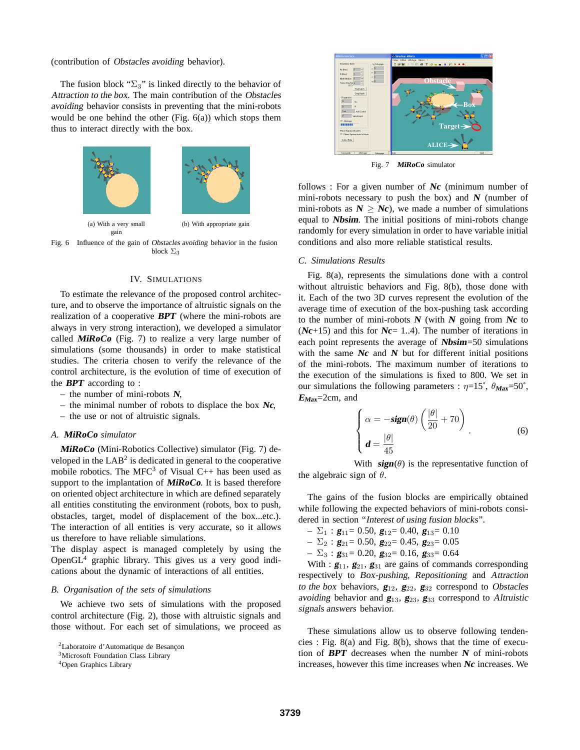(contribution of Obstacles avoiding behavior).

The fusion block " $\Sigma_3$ " is linked directly to the behavior of Attraction to the box. The main contribution of the Obstacles avoiding behavior consists in preventing that the mini-robots would be one behind the other (Fig. 6(a)) which stops them thus to interact directly with the box.



Fig. 6 Influence of the gain of Obstacles avoiding behavior in the fusion block  $\Sigma_3$ 

# IV. SIMULATIONS

To estimate the relevance of the proposed control architecture, and to observe the importance of altruistic signals on the realization of a cooperative **BPT** (where the mini-robots are always in very strong interaction), we developed a simulator called **MiRoCo** (Fig. 7) to realize a very large number of simulations (some thousands) in order to make statistical studies. The criteria chosen to verify the relevance of the control architecture, is the evolution of time of execution of the **BPT** according to :

- the number of mini-robots **<sup>N</sup>**,
- the minimal number of robots to displace the box **Nc**,
- the use or not of altruistic signals.

### *A.* **MiRoCo** *simulator*

**MiRoCo** (Mini-Robotics Collective) simulator (Fig. 7) developed in the  $LAB<sup>2</sup>$  is dedicated in general to the cooperative mobile robotics. The MFC<sup>3</sup> of Visual C++ has been used as support to the implantation of **MiRoCo**. It is based therefore on oriented object architecture in which are defined separately all entities constituting the environment (robots, box to push, obstacles, target, model of displacement of the box...etc.). The interaction of all entities is very accurate, so it allows us therefore to have reliable simulations.

The display aspect is managed completely by using the OpenGL<sup>4</sup> graphic library. This gives us a very good indications about the dynamic of interactions of all entities.

# *B. Organisation of the sets of simulations*

We achieve two sets of simulations with the proposed control architecture (Fig. 2), those with altruistic signals and those without. For each set of simulations, we proceed as



Fig. 7 **MiRoCo** simulator

follows : For a given number of **Nc** (minimum number of mini-robots necessary to push the box) and  $N$  (number of mini-robots as  $N \geq Nc$ , we made a number of simulations equal to **Nbsim**. The initial positions of mini-robots change randomly for every simulation in order to have variable initial conditions and also more reliable statistical results.

### *C. Simulations Results*

Fig. 8(a), represents the simulations done with a control without altruistic behaviors and Fig. 8(b), those done with it. Each of the two 3D curves represent the evolution of the average time of execution of the box-pushing task according to the number of mini-robots **<sup>N</sup>** (with **<sup>N</sup>** going from **Nc** to (**Nc**+15) and this for **Nc**= 1..4). The number of iterations in each point represents the average of **Nbsim**=50 simulations with the same  $Nc$  and  $N$  but for different initial positions of the mini-robots. The maximum number of iterations to the execution of the simulations is fixed to 800. We set in our simulations the following parameters :  $\eta = 15^\circ$ ,  $\theta_{\text{Max}} = 50^\circ$ , **<sup>E</sup>Max**=2cm, and

$$
\begin{cases}\n\alpha = -\text{sign}(\theta) \left( \frac{|\theta|}{20} + 70 \right) \\
d = \frac{|\theta|}{45}\n\end{cases}
$$
\n(6)

With  $sign(\theta)$  is the representative function of the algebraic sign of  $\theta$ .

The gains of the fusion blocks are empirically obtained while following the expected behaviors of mini-robots considered in section "Interest of using fusion blocks".

- $\Sigma_1$ : **g**<sub>11</sub>= 0.50, **g**<sub>12</sub>= 0.40, **g**<sub>13</sub>= 0.10
- $\Sigma_2$ : **g**<sub>21</sub>= 0.50, **g**<sub>22</sub>= 0.45, **g**<sub>23</sub>= 0.05
- $-\Sigma_3$ : **g**<sub>31</sub>= 0.20, **g**<sub>32</sub>= 0.16, **g**<sub>33</sub>= 0.64

With :  $g_{11}, g_{21}, g_{31}$  are gains of commands corresponding respectively to Box-pushing, Repositioning and Attraction to the box behaviors,  $\mathbf{g}_{12}$ ,  $\mathbf{g}_{22}$ ,  $\mathbf{g}_{32}$  correspond to Obstacles avoiding behavior and **<sup>g</sup>**13, **<sup>g</sup>**23, **<sup>g</sup>**<sup>33</sup> correspond to Altruistic signals answers behavior.

These simulations allow us to observe following tendencies : Fig. 8(a) and Fig. 8(b), shows that the time of execution of **BPT** decreases when the number **<sup>N</sup>** of mini-robots increases, however this time increases when **Nc** increases. We

<sup>2</sup>Laboratoire d'Automatique de Besançon

<sup>&</sup>lt;sup>3</sup>Microsoft Foundation Class Library

<sup>4</sup>Open Graphics Library